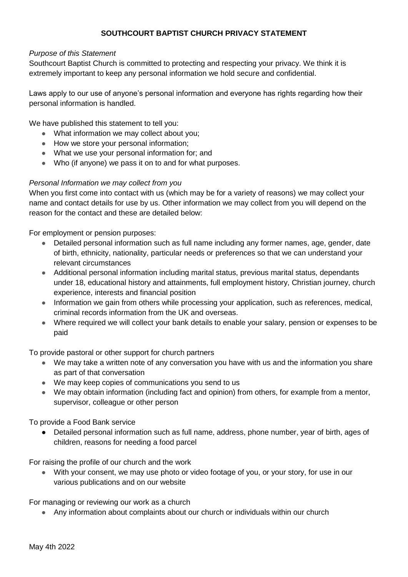# **SOUTHCOURT BAPTIST CHURCH PRIVACY STATEMENT**

### *Purpose of this Statement*

Southcourt Baptist Church is committed to protecting and respecting your privacy. We think it is extremely important to keep any personal information we hold secure and confidential.

Laws apply to our use of anyone's personal information and everyone has rights regarding how their personal information is handled.

We have published this statement to tell you:

- What information we may collect about you;
- How we store your personal information;
- What we use your personal information for; and
- Who (if anyone) we pass it on to and for what purposes.

# *Personal Information we may collect from you*

When you first come into contact with us (which may be for a variety of reasons) we may collect your name and contact details for use by us. Other information we may collect from you will depend on the reason for the contact and these are detailed below:

For employment or pension purposes:

- Detailed personal information such as full name including any former names, age, gender, date of birth, ethnicity, nationality, particular needs or preferences so that we can understand your relevant circumstances
- Additional personal information including marital status, previous marital status, dependants under 18, educational history and attainments, full employment history, Christian journey, church experience, interests and financial position
- Information we gain from others while processing your application, such as references, medical, criminal records information from the UK and overseas.
- Where required we will collect your bank details to enable your salary, pension or expenses to be paid

To provide pastoral or other support for church partners

- We may take a written note of any conversation you have with us and the information you share as part of that conversation
- We may keep copies of communications you send to us
- We may obtain information (including fact and opinion) from others, for example from a mentor, supervisor, colleague or other person

To provide a Food Bank service

● Detailed personal information such as full name, address, phone number, year of birth, ages of children, reasons for needing a food parcel

For raising the profile of our church and the work

● With your consent, we may use photo or video footage of you, or your story, for use in our various publications and on our website

For managing or reviewing our work as a church

● Any information about complaints about our church or individuals within our church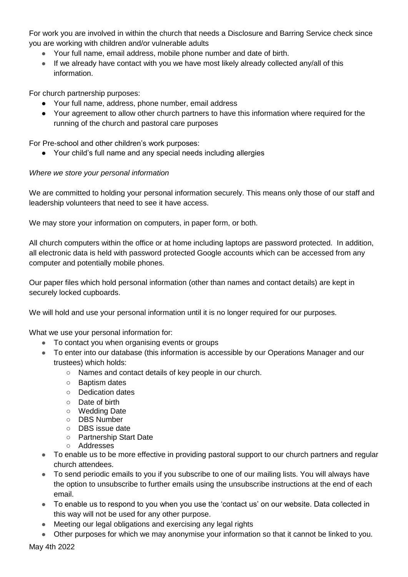For work you are involved in within the church that needs a Disclosure and Barring Service check since you are working with children and/or vulnerable adults

- Your full name, email address, mobile phone number and date of birth.
- If we already have contact with you we have most likely already collected any/all of this information.

For church partnership purposes:

- Your full name, address, phone number, email address
- Your agreement to allow other church partners to have this information where required for the running of the church and pastoral care purposes

For Pre-school and other children's work purposes:

● Your child's full name and any special needs including allergies

# *Where we store your personal information*

We are committed to holding your personal information securely. This means only those of our staff and leadership volunteers that need to see it have access.

We may store your information on computers, in paper form, or both.

All church computers within the office or at home including laptops are password protected. In addition, all electronic data is held with password protected Google accounts which can be accessed from any computer and potentially mobile phones.

Our paper files which hold personal information (other than names and contact details) are kept in securely locked cupboards.

We will hold and use your personal information until it is no longer required for our purposes.

What we use your personal information for:

- To contact you when organising events or groups
- To enter into our database (this information is accessible by our Operations Manager and our trustees) which holds:
	- Names and contact details of key people in our church.
	- Baptism dates
	- Dedication dates
	- Date of birth
	- Wedding Date
	- DBS Number
	- DBS issue date
	- Partnership Start Date
	- Addresses
- To enable us to be more effective in providing pastoral support to our church partners and regular church attendees.
- To send periodic emails to you if you subscribe to one of our mailing lists. You will always have the option to unsubscribe to further emails using the unsubscribe instructions at the end of each email.
- To enable us to respond to you when you use the 'contact us' on our website. Data collected in this way will not be used for any other purpose.
- Meeting our legal obligations and exercising any legal rights
- Other purposes for which we may anonymise your information so that it cannot be linked to you.